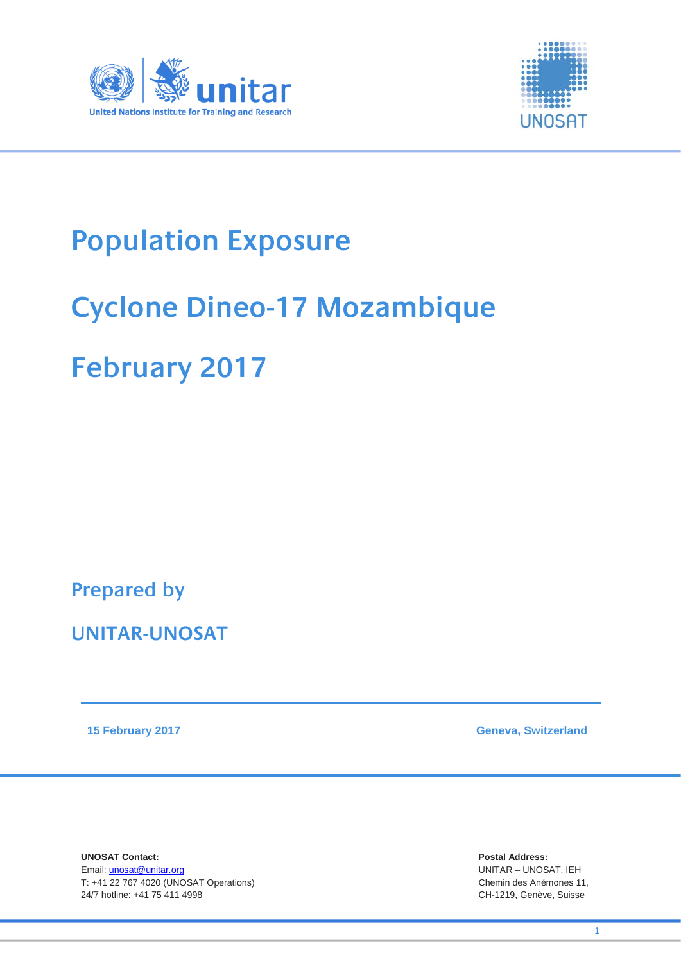



## **Population Exposure**

## **Cyclone Dineo-17 Mozambique**

## **February 2017**

**Prepared by** 

**UNITAR-UNOSAT**

**15 February 2017 Geneva, Switzerland**

**UNOSAT Contact:** Postal Address:<br>
Email: unosat@unitar.org<br>
Email: unosat@unitar.org Email: unosat@unitar.org T: +41 22 767 4020 (UNOSAT Operations)Chemin des Anémones 11, 24/7 hotline: +41 75 411 4998 CH-1219, Genève, Suisse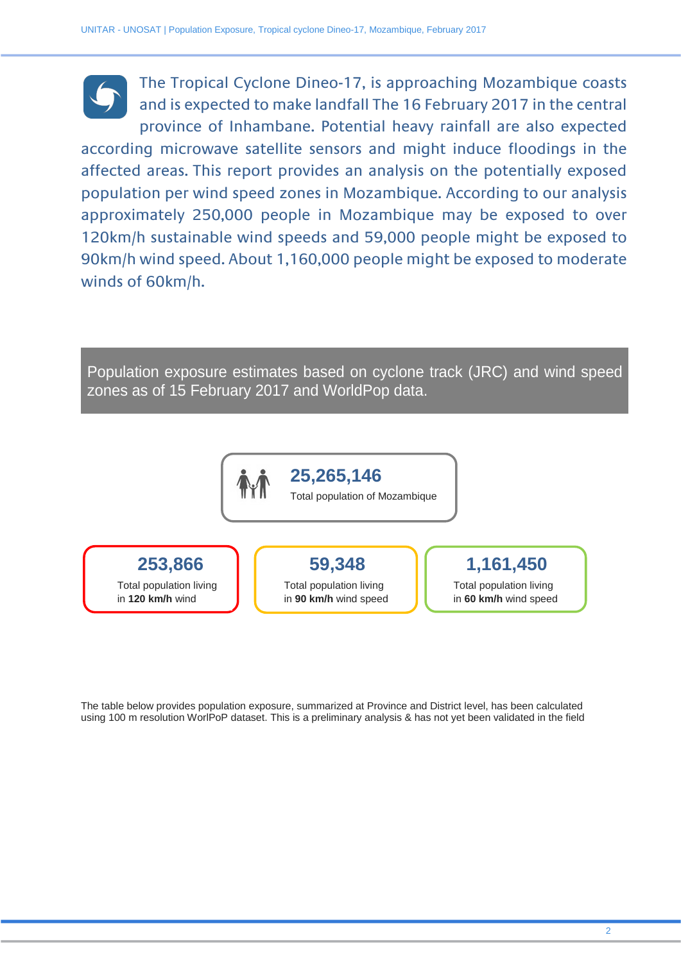The Tropical Cyclone Dineo-17, is approaching Mozambique coasts and is expected to make landfall The 16 February 2017 in the central province of Inhambane. Potential heavy rainfall are also expected according microwave satellite sensors and might induce floodings in the affected areas. This report provides an analysis on the potentially exposed population per wind speed zones in Mozambique. According to our analysis approximately 250,000 people in Mozambique may be exposed to over 120km/h sustainable wind speeds and 59,000 people might be exposed to 90km/h wind speed. About 1,160,000 people might be exposed to moderate winds of 60km/h.

Population exposure estimates based on cyclone track (JRC) and wind speed zones as of 15 February 2017 and WorldPop data.



The table below provides population exposure, summarized at Province and District level, has been calculated using 100 m resolution WorlPoP dataset. This is a preliminary analysis & has not yet been validated in the field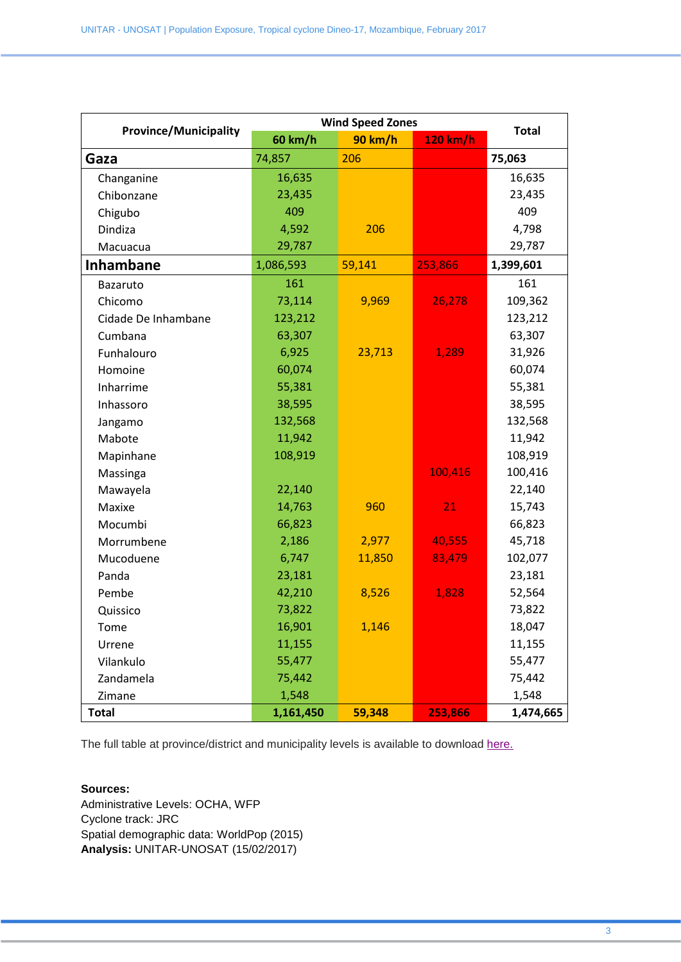| <b>Province/Municipality</b> | <b>Wind Speed Zones</b> |                |          |              |
|------------------------------|-------------------------|----------------|----------|--------------|
|                              | 60 km/h                 | <b>90 km/h</b> | 120 km/h | <b>Total</b> |
| Gaza                         | 74,857                  | 206            |          | 75,063       |
| Changanine                   | 16,635                  |                |          | 16,635       |
| Chibonzane                   | 23,435                  |                |          | 23,435       |
| Chigubo                      | 409                     |                |          | 409          |
| Dindiza                      | 4,592                   | 206            |          | 4,798        |
| Macuacua                     | 29,787                  |                |          | 29,787       |
| <b>Inhambane</b>             | 1,086,593               | 59,141         | 253,866  | 1,399,601    |
| Bazaruto                     | 161                     |                |          | 161          |
| Chicomo                      | 73,114                  | 9,969          | 26,278   | 109,362      |
| Cidade De Inhambane          | 123,212                 |                |          | 123,212      |
| Cumbana                      | 63,307                  |                |          | 63,307       |
| Funhalouro                   | 6,925                   | 23,713         | 1,289    | 31,926       |
| Homoine                      | 60,074                  |                |          | 60,074       |
| Inharrime                    | 55,381                  |                |          | 55,381       |
| Inhassoro                    | 38,595                  |                |          | 38,595       |
| Jangamo                      | 132,568                 |                |          | 132,568      |
| Mabote                       | 11,942                  |                |          | 11,942       |
| Mapinhane                    | 108,919                 |                |          | 108,919      |
| Massinga                     |                         |                | 100,416  | 100,416      |
| Mawayela                     | 22,140                  |                |          | 22,140       |
| Maxixe                       | 14,763                  | 960            | 21       | 15,743       |
| Mocumbi                      | 66,823                  |                |          | 66,823       |
| Morrumbene                   | 2,186                   | 2,977          | 40,555   | 45,718       |
| Mucoduene                    | 6,747                   | 11,850         | 83,479   | 102,077      |
| Panda                        | 23,181                  |                |          | 23,181       |
| Pembe                        | 42,210                  | 8,526          | 1,828    | 52,564       |
| Quissico                     | 73,822                  |                |          | 73,822       |
| Tome                         | 16,901                  | 1,146          |          | 18,047       |
| Urrene                       | 11,155                  |                |          | 11,155       |
| Vilankulo                    | 55,477                  |                |          | 55,477       |
| Zandamela                    | 75,442                  |                |          | 75,442       |
| Zimane                       | 1,548                   |                |          | 1,548        |
| <b>Total</b>                 | 1,161,450               | 59,348         | 253,866  | 1,474,665    |

The full table at province/district and municipality levels is available to download [here.](http://maps.unosat.org/MZ/FL20170118MOZ/UNOSAT_Pop_exposure_dineo17_20170215.xlsx)

## **Sources:**

Administrative Levels: OCHA, WFP Cyclone track: JRC Spatial demographic data: WorldPop (2015) **Analysis:** UNITAR-UNOSAT (15/02/2017)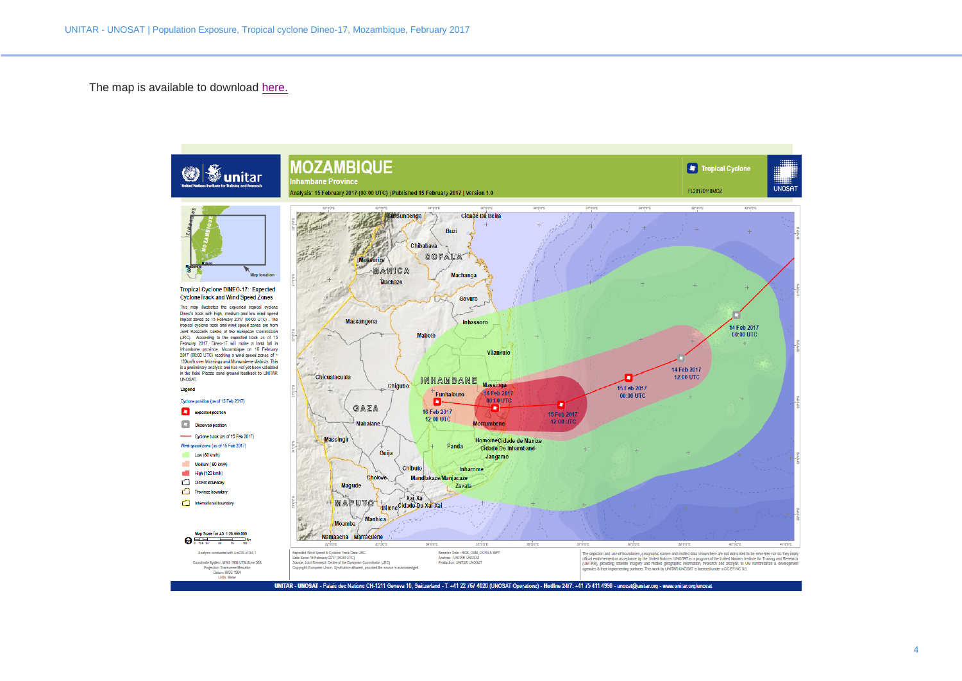The map is available to download [here.](http://maps.unosat.org/MZ/FL20170118MOZ/UNOSAT_A3_MOZ_Pop_Exposure_Cyclone_Dineo_15FEB2017.pdf)